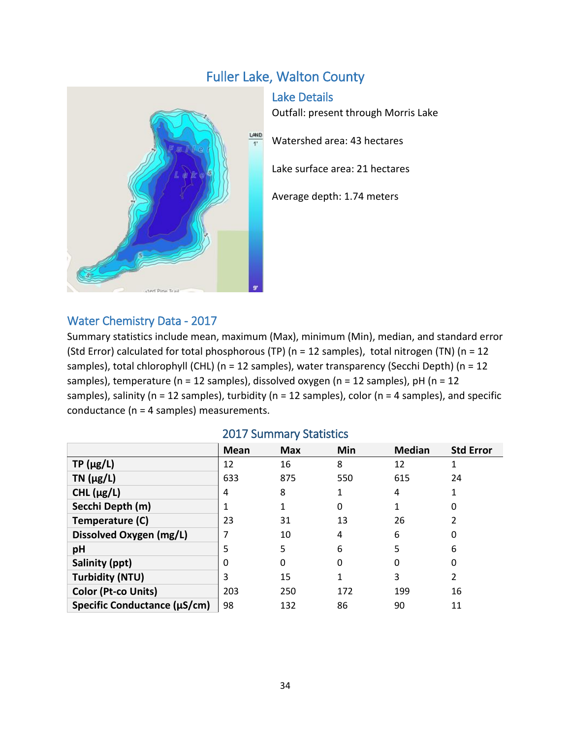

# Fuller Lake, Walton County

Lake Details

Outfall: present through Morris Lake

Watershed area: 43 hectares

Lake surface area: 21 hectares

Average depth: 1.74 meters

### Water Chemistry Data - 2017

Summary statistics include mean, maximum (Max), minimum (Min), median, and standard error (Std Error) calculated for total phosphorous (TP) (n = 12 samples), total nitrogen (TN) (n = 12 samples), total chlorophyll (CHL) (n = 12 samples), water transparency (Secchi Depth) (n = 12 samples), temperature (n = 12 samples), dissolved oxygen (n = 12 samples), pH (n = 12 samples), salinity ( $n = 12$  samples), turbidity ( $n = 12$  samples), color ( $n = 4$  samples), and specific conductance (n = 4 samples) measurements.

|  | <b>2017 Summary Statistics</b> |  |
|--|--------------------------------|--|
|--|--------------------------------|--|

|                              | Mean | <b>Max</b> | Min          | <b>Median</b> | <b>Std Error</b> |
|------------------------------|------|------------|--------------|---------------|------------------|
| $TP(\mu g/L)$                | 12   | 16         | 8            | 12            |                  |
| TN $(\mu g/L)$               | 633  | 875        | 550          | 615           | 24               |
| CHL $(\mu g/L)$              | 4    | 8          | 1            | 4             |                  |
| Secchi Depth (m)             |      |            | 0            | 1             |                  |
| Temperature (C)              | 23   | 31         | 13           | 26            |                  |
| Dissolved Oxygen (mg/L)      |      | 10         | 4            | 6             |                  |
| pH                           | 5    | 5          | 6            | 5             | 6                |
| Salinity (ppt)               | 0    | 0          | $\mathbf{0}$ | 0             | 0                |
| <b>Turbidity (NTU)</b>       | 3    | 15         | 1            | 3             | 2                |
| Color (Pt-co Units)          | 203  | 250        | 172          | 199           | 16               |
| Specific Conductance (µS/cm) | 98   | 132        | 86           | 90            | 11               |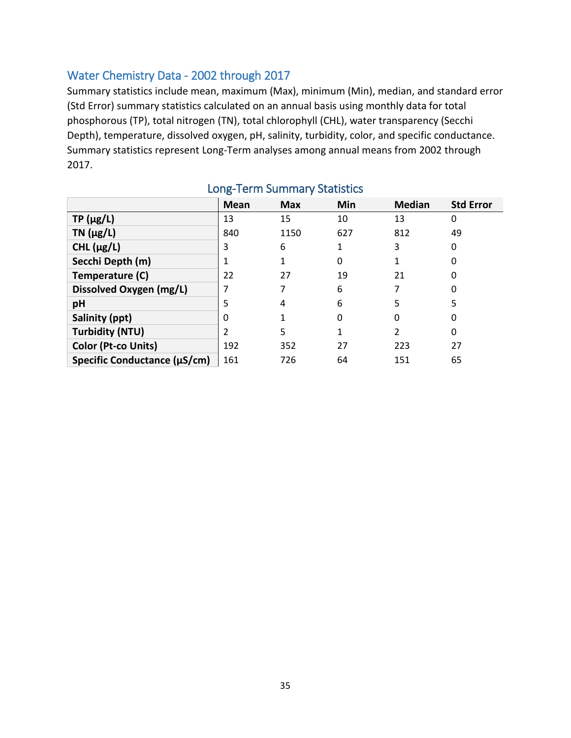## Water Chemistry Data - 2002 through 2017

Summary statistics include mean, maximum (Max), minimum (Min), median, and standard error (Std Error) summary statistics calculated on an annual basis using monthly data for total phosphorous (TP), total nitrogen (TN), total chlorophyll (CHL), water transparency (Secchi Depth), temperature, dissolved oxygen, pH, salinity, turbidity, color, and specific conductance. Summary statistics represent Long-Term analyses among annual means from 2002 through 2017.

|                              | <b>Mean</b> | <b>Max</b> | Min | <b>Median</b> | <b>Std Error</b> |
|------------------------------|-------------|------------|-----|---------------|------------------|
| $TP(\mu g/L)$                | 13          | 15         | 10  | 13            | 0                |
| $TN$ ( $\mu$ g/L)            | 840         | 1150       | 627 | 812           | 49               |
| CHL $(\mu g/L)$              | 3           | 6          |     | 3             | 0                |
| Secchi Depth (m)             |             |            | 0   |               | 0                |
| Temperature (C)              | 22          | 27         | 19  | 21            | 0                |
| Dissolved Oxygen (mg/L)      |             |            | 6   | 7             | 0                |
| pH                           | 5           | 4          | 6   | 5             | 5                |
| Salinity (ppt)               | 0           |            | 0   | 0             | 0                |
| <b>Turbidity (NTU)</b>       | 2           | 5          |     | 2             | 0                |
| Color (Pt-co Units)          | 192         | 352        | 27  | 223           | 27               |
| Specific Conductance (µS/cm) | 161         | 726        | 64  | 151           | 65               |

## Long-Term Summary Statistics